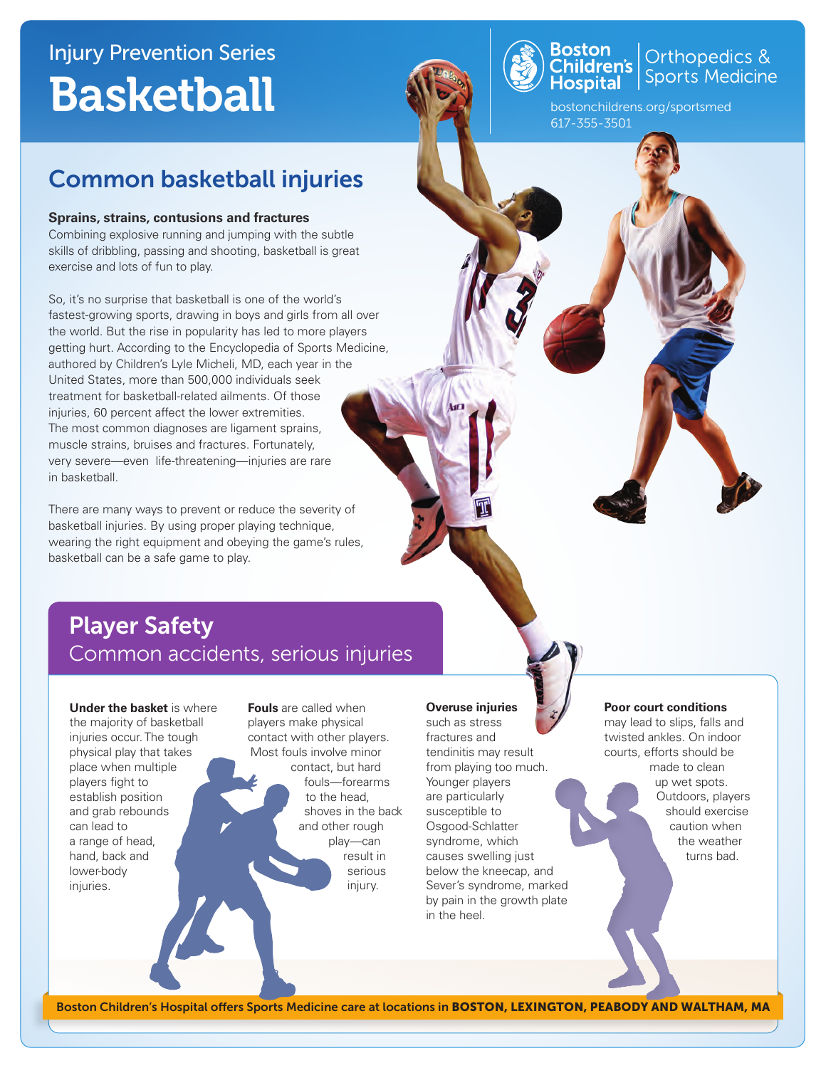# Injury Prevention Series **Basketball**

# Common basketball injuries

## **Sprains, strains, contusions and fractures**

Combining explosive running and jumping with the subtle skills of dribbling, passing and shooting, basketball is great exercise and lots of fun to play.

So, it's no surprise that basketball is one of the world's fastest-growing sports, drawing in boys and girls from all over the world. But the rise in popularity has led to more players getting hurt. According to the Encyclopedia of Sports Medicine, authored by Children's Lyle Micheli, MD, each year in the United States, more than 500,000 individuals seek treatment for basketball-related ailments. Of those injuries, 60 percent affect the lower extremities. The most common diagnoses are ligament sprains, muscle strains, bruises and fractures. Fortunately, very severe—even life-threatening—injuries are rare in basketball.

There are many ways to prevent or reduce the severity of basketball injuries. By using proper playing technique, wearing the right equipment and obeying the game's rules, basketball can be a safe game to play.

# Player Safety Common accidents, serious injuries

**Under the basket** is where the majority of basketball injuries occur. The tough physical play that takes place when multiple players fight to establish position and grab rebounds can lead to a range of head, hand, back and lower-body injuries.

**Fouls** are called when players make physical contact with other players. Most fouls involve minor contact, but hard fouls—forearms to the head, shoves in the back and other rough play—can result in serious injury.

# **Overuse injuries**

such as stress fractures and tendinitis may result from playing too much. Younger players are particularly susceptible to Osgood-Schlatter syndrome, which causes swelling just below the kneecap, and Sever's syndrome, marked by pain in the growth plate in the heel.

#### **Poor court conditions**

bostonchildrens.org/sportsmed

Orthopedics & **Sports Medicine** 

617-355-3501

Boston<br>Children's<br>Hospital

may lead to slips, falls and twisted ankles. On indoor courts, efforts should be made to clean up wet spots. Outdoors, players should exercise caution when the weather turns bad.